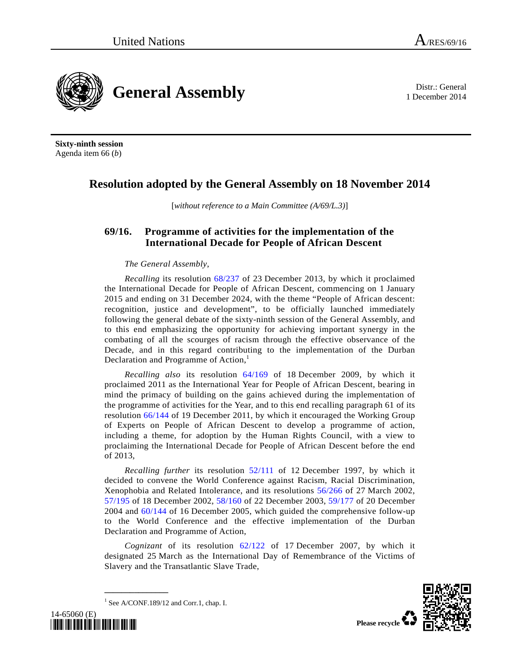

1 December 2014



**Sixty-ninth session**  Agenda item 66 (*b*)

# **Resolution adopted by the General Assembly on 18 November 2014**

[*without reference to a Main Committee (A/69/L.3)*]

## **69/16. Programme of activities for the implementation of the International Decade for People of African Descent**

## *The General Assembly*,

*Recalling* its resolution 68/237 of 23 December 2013, by which it proclaimed the International Decade for People of African Descent, commencing on 1 January 2015 and ending on 31 December 2024, with the theme "People of African descent: recognition, justice and development", to be officially launched immediately following the general debate of the sixty-ninth session of the General Assembly, and to this end emphasizing the opportunity for achieving important synergy in the combating of all the scourges of racism through the effective observance of the Decade, and in this regard contributing to the implementation of the Durban Declaration and Programme of Action,<sup>1</sup>

*Recalling also* its resolution 64/169 of 18 December 2009, by which it proclaimed 2011 as the International Year for People of African Descent, bearing in mind the primacy of building on the gains achieved during the implementation of the programme of activities for the Year, and to this end recalling paragraph 61 of its resolution 66/144 of 19 December 2011, by which it encouraged the Working Group of Experts on People of African Descent to develop a programme of action, including a theme, for adoption by the Human Rights Council, with a view to proclaiming the International Decade for People of African Descent before the end of 2013,

*Recalling further* its resolution 52/111 of 12 December 1997, by which it decided to convene the World Conference against Racism, Racial Discrimination, Xenophobia and Related Intolerance, and its resolutions 56/266 of 27 March 2002, 57/195 of 18 December 2002, 58/160 of 22 December 2003, 59/177 of 20 December 2004 and 60/144 of 16 December 2005, which guided the comprehensive follow-up to the World Conference and the effective implementation of the Durban Declaration and Programme of Action,

*Cognizant* of its resolution 62/122 of 17 December 2007, by which it designated 25 March as the International Day of Remembrance of the Victims of Slavery and the Transatlantic Slave Trade,



<sup>1</sup> See A/CONF.189/12 and Corr.1, chap. I.

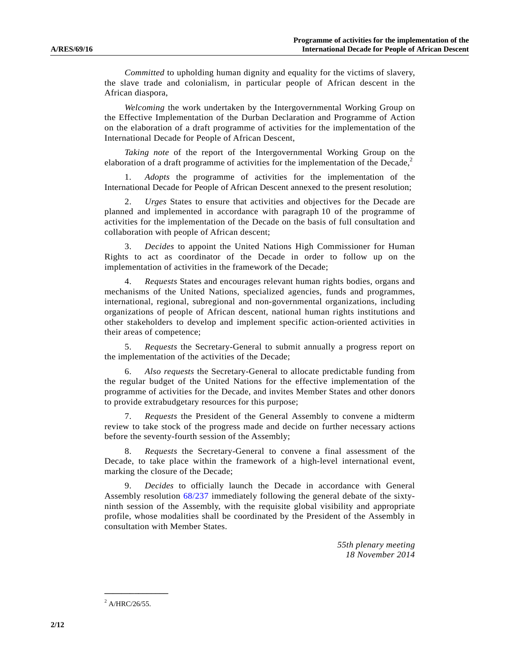*Committed* to upholding human dignity and equality for the victims of slavery, the slave trade and colonialism, in particular people of African descent in the African diaspora,

*Welcoming* the work undertaken by the Intergovernmental Working Group on the Effective Implementation of the Durban Declaration and Programme of Action on the elaboration of a draft programme of activities for the implementation of the International Decade for People of African Descent,

*Taking note* of the report of the Intergovernmental Working Group on the elaboration of a draft programme of activities for the implementation of the Decade, $2$ 

 1. *Adopts* the programme of activities for the implementation of the International Decade for People of African Descent annexed to the present resolution;

 2. *Urges* States to ensure that activities and objectives for the Decade are planned and implemented in accordance with paragraph 10 of the programme of activities for the implementation of the Decade on the basis of full consultation and collaboration with people of African descent;

 3. *Decides* to appoint the United Nations High Commissioner for Human Rights to act as coordinator of the Decade in order to follow up on the implementation of activities in the framework of the Decade;

 4. *Requests* States and encourages relevant human rights bodies, organs and mechanisms of the United Nations, specialized agencies, funds and programmes, international, regional, subregional and non-governmental organizations, including organizations of people of African descent, national human rights institutions and other stakeholders to develop and implement specific action-oriented activities in their areas of competence;

 5. *Requests* the Secretary-General to submit annually a progress report on the implementation of the activities of the Decade;

 6. *Also requests* the Secretary-General to allocate predictable funding from the regular budget of the United Nations for the effective implementation of the programme of activities for the Decade, and invites Member States and other donors to provide extrabudgetary resources for this purpose;

 7. *Requests* the President of the General Assembly to convene a midterm review to take stock of the progress made and decide on further necessary actions before the seventy-fourth session of the Assembly;

 8. *Requests* the Secretary-General to convene a final assessment of the Decade, to take place within the framework of a high-level international event, marking the closure of the Decade;

 9. *Decides* to officially launch the Decade in accordance with General Assembly resolution 68/237 immediately following the general debate of the sixtyninth session of the Assembly, with the requisite global visibility and appropriate profile, whose modalities shall be coordinated by the President of the Assembly in consultation with Member States.

> *55th plenary meeting 18 November 2014*

 $^{2}$  A/HRC/26/55.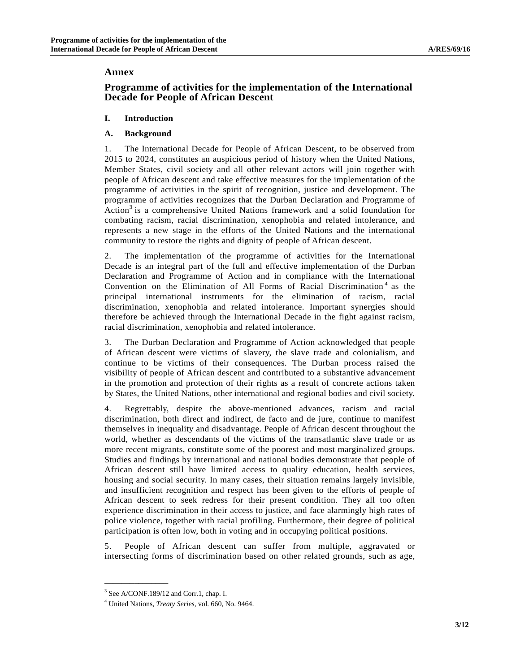## **Annex**

## **Programme of activities for the implementation of the International Decade for People of African Descent**

## **I. Introduction**

## **A. Background**

1. The International Decade for People of African Descent, to be observed from 2015 to 2024, constitutes an auspicious period of history when the United Nations, Member States, civil society and all other relevant actors will join together with people of African descent and take effective measures for the implementation of the programme of activities in the spirit of recognition, justice and development. The programme of activities recognizes that the Durban Declaration and Programme of Action<sup>3</sup> is a comprehensive United Nations framework and a solid foundation for combating racism, racial discrimination, xenophobia and related intolerance, and represents a new stage in the efforts of the United Nations and the international community to restore the rights and dignity of people of African descent.

2. The implementation of the programme of activities for the International Decade is an integral part of the full and effective implementation of the Durban Declaration and Programme of Action and in compliance with the International Convention on the Elimination of All Forms of Racial Discrimination<sup>4</sup> as the principal international instruments for the elimination of racism, racial discrimination, xenophobia and related intolerance. Important synergies should therefore be achieved through the International Decade in the fight against racism, racial discrimination, xenophobia and related intolerance.

3. The Durban Declaration and Programme of Action acknowledged that people of African descent were victims of slavery, the slave trade and colonialism, and continue to be victims of their consequences. The Durban process raised the visibility of people of African descent and contributed to a substantive advancement in the promotion and protection of their rights as a result of concrete actions taken by States, the United Nations, other international and regional bodies and civil society.

4. Regrettably, despite the above-mentioned advances, racism and racial discrimination, both direct and indirect, de facto and de jure, continue to manifest themselves in inequality and disadvantage. People of African descent throughout the world, whether as descendants of the victims of the transatlantic slave trade or as more recent migrants, constitute some of the poorest and most marginalized groups. Studies and findings by international and national bodies demonstrate that people of African descent still have limited access to quality education, health services, housing and social security. In many cases, their situation remains largely invisible, and insufficient recognition and respect has been given to the efforts of people of African descent to seek redress for their present condition. They all too often experience discrimination in their access to justice, and face alarmingly high rates of police violence, together with racial profiling. Furthermore, their degree of political participation is often low, both in voting and in occupying political positions.

5. People of African descent can suffer from multiple, aggravated or intersecting forms of discrimination based on other related grounds, such as age,

<sup>&</sup>lt;sup>3</sup> See A/CONF.189/12 and Corr.1, chap. I.

<sup>4</sup> United Nations, *Treaty Series*, vol. 660, No. 9464.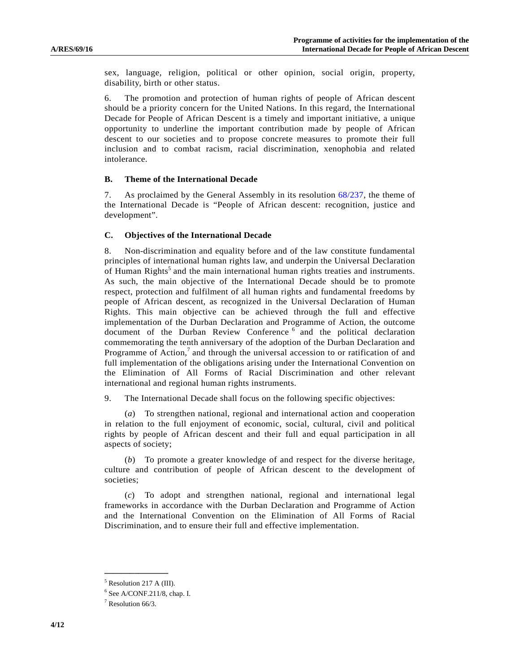sex, language, religion, political or other opinion, social origin, property, disability, birth or other status.

6. The promotion and protection of human rights of people of African descent should be a priority concern for the United Nations. In this regard, the International Decade for People of African Descent is a timely and important initiative, a unique opportunity to underline the important contribution made by people of African descent to our societies and to propose concrete measures to promote their full inclusion and to combat racism, racial discrimination, xenophobia and related intolerance.

#### **B. Theme of the International Decade**

7. As proclaimed by the General Assembly in its resolution 68/237, the theme of the International Decade is "People of African descent: recognition, justice and development".

#### **C. Objectives of the International Decade**

8. Non-discrimination and equality before and of the law constitute fundamental principles of international human rights law, and underpin the Universal Declaration of Human Rights<sup>5</sup> and the main international human rights treaties and instruments. As such, the main objective of the International Decade should be to promote respect, protection and fulfilment of all human rights and fundamental freedoms by people of African descent, as recognized in the Universal Declaration of Human Rights. This main objective can be achieved through the full and effective implementation of the Durban Declaration and Programme of Action, the outcome document of the Durban Review Conference<sup>6</sup> and the political declaration commemorating the tenth anniversary of the adoption of the Durban Declaration and Programme of  $Action, 7$  and through the universal accession to or ratification of and full implementation of the obligations arising under the International Convention on the Elimination of All Forms of Racial Discrimination and other relevant international and regional human rights instruments.

9. The International Decade shall focus on the following specific objectives:

 (*a*) To strengthen national, regional and international action and cooperation in relation to the full enjoyment of economic, social, cultural, civil and political rights by people of African descent and their full and equal participation in all aspects of society;

 (*b*) To promote a greater knowledge of and respect for the diverse heritage, culture and contribution of people of African descent to the development of societies;

 (*c*) To adopt and strengthen national, regional and international legal frameworks in accordance with the Durban Declaration and Programme of Action and the International Convention on the Elimination of All Forms of Racial Discrimination, and to ensure their full and effective implementation.

**\_\_\_\_\_\_\_\_\_\_\_\_\_\_\_**  <sup>5</sup> Resolution 217 A (III).

 $6$  See A/CONF.211/8, chap. I.

<sup>7</sup> Resolution 66/3.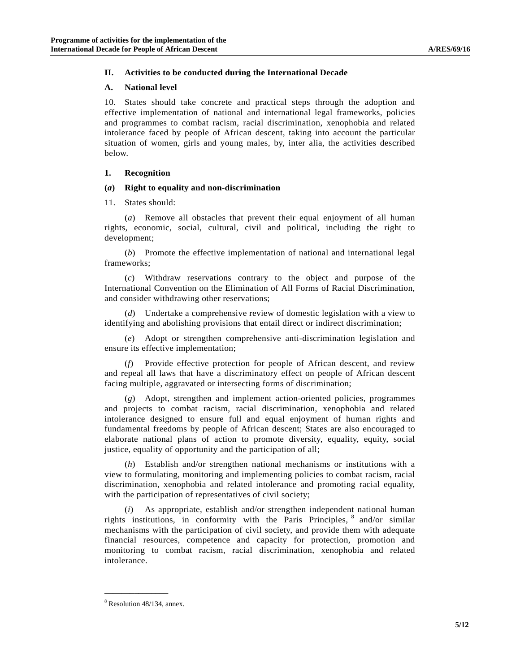### **II. Activities to be conducted during the International Decade**

#### **A. National level**

10. States should take concrete and practical steps through the adoption and effective implementation of national and international legal frameworks, policies and programmes to combat racism, racial discrimination, xenophobia and related intolerance faced by people of African descent, taking into account the particular situation of women, girls and young males, by, inter alia, the activities described below.

## **1. Recognition**

#### **(***a***) Right to equality and non-discrimination**

11. States should:

 (*a*) Remove all obstacles that prevent their equal enjoyment of all human rights, economic, social, cultural, civil and political, including the right to development;

 (*b*) Promote the effective implementation of national and international legal frameworks;

 (*c*) Withdraw reservations contrary to the object and purpose of the International Convention on the Elimination of All Forms of Racial Discrimination, and consider withdrawing other reservations;

 (*d*) Undertake a comprehensive review of domestic legislation with a view to identifying and abolishing provisions that entail direct or indirect discrimination;

 (*e*) Adopt or strengthen comprehensive anti-discrimination legislation and ensure its effective implementation;

 (*f*) Provide effective protection for people of African descent, and review and repeal all laws that have a discriminatory effect on people of African descent facing multiple, aggravated or intersecting forms of discrimination;

 (*g*) Adopt, strengthen and implement action-oriented policies, programmes and projects to combat racism, racial discrimination, xenophobia and related intolerance designed to ensure full and equal enjoyment of human rights and fundamental freedoms by people of African descent; States are also encouraged to elaborate national plans of action to promote diversity, equality, equity, social justice, equality of opportunity and the participation of all;

 (*h*) Establish and/or strengthen national mechanisms or institutions with a view to formulating, monitoring and implementing policies to combat racism, racial discrimination, xenophobia and related intolerance and promoting racial equality, with the participation of representatives of civil society;

As appropriate, establish and/or strengthen independent national human rights institutions, in conformity with the Paris Principles, 8 and/or similar mechanisms with the participation of civil society, and provide them with adequate financial resources, competence and capacity for protection, promotion and monitoring to combat racism, racial discrimination, xenophobia and related intolerance.

<sup>8</sup> Resolution 48/134, annex.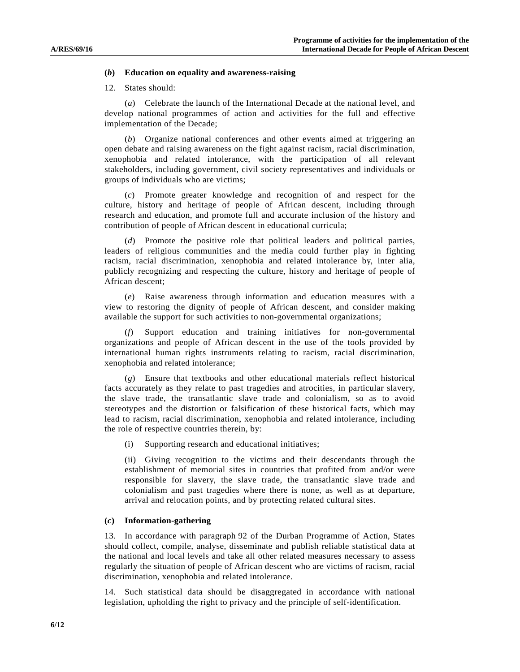#### **(***b***) Education on equality and awareness-raising**

#### 12. States should:

 (*a*) Celebrate the launch of the International Decade at the national level, and develop national programmes of action and activities for the full and effective implementation of the Decade;

 (*b*) Organize national conferences and other events aimed at triggering an open debate and raising awareness on the fight against racism, racial discrimination, xenophobia and related intolerance, with the participation of all relevant stakeholders, including government, civil society representatives and individuals or groups of individuals who are victims;

 (*c*) Promote greater knowledge and recognition of and respect for the culture, history and heritage of people of African descent, including through research and education, and promote full and accurate inclusion of the history and contribution of people of African descent in educational curricula;

 (*d*) Promote the positive role that political leaders and political parties, leaders of religious communities and the media could further play in fighting racism, racial discrimination, xenophobia and related intolerance by, inter alia, publicly recognizing and respecting the culture, history and heritage of people of African descent;

 (*e*) Raise awareness through information and education measures with a view to restoring the dignity of people of African descent, and consider making available the support for such activities to non-governmental organizations;

 (*f*) Support education and training initiatives for non-governmental organizations and people of African descent in the use of the tools provided by international human rights instruments relating to racism, racial discrimination, xenophobia and related intolerance;

 (*g*) Ensure that textbooks and other educational materials reflect historical facts accurately as they relate to past tragedies and atrocities, in particular slavery, the slave trade, the transatlantic slave trade and colonialism, so as to avoid stereotypes and the distortion or falsification of these historical facts, which may lead to racism, racial discrimination, xenophobia and related intolerance, including the role of respective countries therein, by:

(i) Supporting research and educational initiatives;

 (ii) Giving recognition to the victims and their descendants through the establishment of memorial sites in countries that profited from and/or were responsible for slavery, the slave trade, the transatlantic slave trade and colonialism and past tragedies where there is none, as well as at departure, arrival and relocation points, and by protecting related cultural sites.

#### **(***c***) Information-gathering**

13. In accordance with paragraph 92 of the Durban Programme of Action, States should collect, compile, analyse, disseminate and publish reliable statistical data at the national and local levels and take all other related measures necessary to assess regularly the situation of people of African descent who are victims of racism, racial discrimination, xenophobia and related intolerance.

14. Such statistical data should be disaggregated in accordance with national legislation, upholding the right to privacy and the principle of self-identification.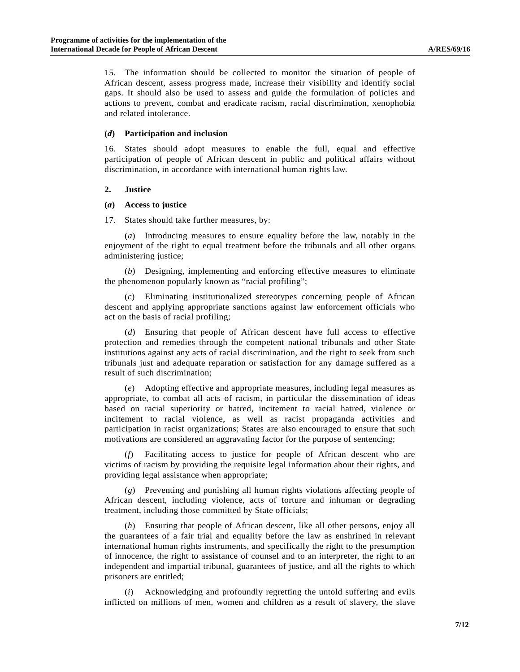15. The information should be collected to monitor the situation of people of African descent, assess progress made, increase their visibility and identify social gaps. It should also be used to assess and guide the formulation of policies and actions to prevent, combat and eradicate racism, racial discrimination, xenophobia and related intolerance.

#### **(***d***) Participation and inclusion**

16. States should adopt measures to enable the full, equal and effective participation of people of African descent in public and political affairs without discrimination, in accordance with international human rights law.

#### **2. Justice**

#### **(***a***) Access to justice**

17. States should take further measures, by:

 (*a*) Introducing measures to ensure equality before the law, notably in the enjoyment of the right to equal treatment before the tribunals and all other organs administering justice;

 (*b*) Designing, implementing and enforcing effective measures to eliminate the phenomenon popularly known as "racial profiling";

 (*c*) Eliminating institutionalized stereotypes concerning people of African descent and applying appropriate sanctions against law enforcement officials who act on the basis of racial profiling;

 (*d*) Ensuring that people of African descent have full access to effective protection and remedies through the competent national tribunals and other State institutions against any acts of racial discrimination, and the right to seek from such tribunals just and adequate reparation or satisfaction for any damage suffered as a result of such discrimination;

 (*e*) Adopting effective and appropriate measures, including legal measures as appropriate, to combat all acts of racism, in particular the dissemination of ideas based on racial superiority or hatred, incitement to racial hatred, violence or incitement to racial violence, as well as racist propaganda activities and participation in racist organizations; States are also encouraged to ensure that such motivations are considered an aggravating factor for the purpose of sentencing;

 (*f*) Facilitating access to justice for people of African descent who are victims of racism by providing the requisite legal information about their rights, and providing legal assistance when appropriate;

 (*g*) Preventing and punishing all human rights violations affecting people of African descent, including violence, acts of torture and inhuman or degrading treatment, including those committed by State officials;

 (*h*) Ensuring that people of African descent, like all other persons, enjoy all the guarantees of a fair trial and equality before the law as enshrined in relevant international human rights instruments, and specifically the right to the presumption of innocence, the right to assistance of counsel and to an interpreter, the right to an independent and impartial tribunal, guarantees of justice, and all the rights to which prisoners are entitled;

 (*i*) Acknowledging and profoundly regretting the untold suffering and evils inflicted on millions of men, women and children as a result of slavery, the slave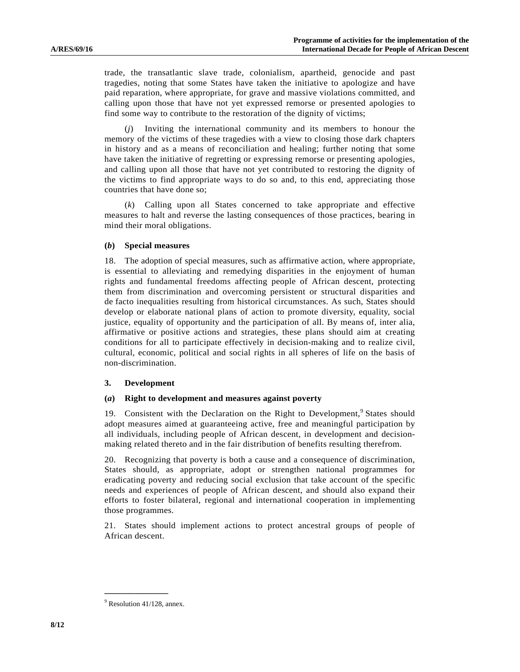trade, the transatlantic slave trade, colonialism, apartheid, genocide and past tragedies, noting that some States have taken the initiative to apologize and have paid reparation, where appropriate, for grave and massive violations committed, and calling upon those that have not yet expressed remorse or presented apologies to find some way to contribute to the restoration of the dignity of victims;

 (*j*) Inviting the international community and its members to honour the memory of the victims of these tragedies with a view to closing those dark chapters in history and as a means of reconciliation and healing; further noting that some have taken the initiative of regretting or expressing remorse or presenting apologies, and calling upon all those that have not yet contributed to restoring the dignity of the victims to find appropriate ways to do so and, to this end, appreciating those countries that have done so;

 (*k*) Calling upon all States concerned to take appropriate and effective measures to halt and reverse the lasting consequences of those practices, bearing in mind their moral obligations.

#### **(***b***) Special measures**

18. The adoption of special measures, such as affirmative action, where appropriate, is essential to alleviating and remedying disparities in the enjoyment of human rights and fundamental freedoms affecting people of African descent, protecting them from discrimination and overcoming persistent or structural disparities and de facto inequalities resulting from historical circumstances. As such, States should develop or elaborate national plans of action to promote diversity, equality, social justice, equality of opportunity and the participation of all. By means of, inter alia, affirmative or positive actions and strategies, these plans should aim at creating conditions for all to participate effectively in decision-making and to realize civil, cultural, economic, political and social rights in all spheres of life on the basis of non-discrimination.

#### **3. Development**

#### **(***a***) Right to development and measures against poverty**

19. Consistent with the Declaration on the Right to Development,<sup>9</sup> States should adopt measures aimed at guaranteeing active, free and meaningful participation by all individuals, including people of African descent, in development and decisionmaking related thereto and in the fair distribution of benefits resulting therefrom.

20. Recognizing that poverty is both a cause and a consequence of discrimination, States should, as appropriate, adopt or strengthen national programmes for eradicating poverty and reducing social exclusion that take account of the specific needs and experiences of people of African descent, and should also expand their efforts to foster bilateral, regional and international cooperation in implementing those programmes.

21. States should implement actions to protect ancestral groups of people of African descent.

<sup>&</sup>lt;sup>9</sup> Resolution 41/128, annex.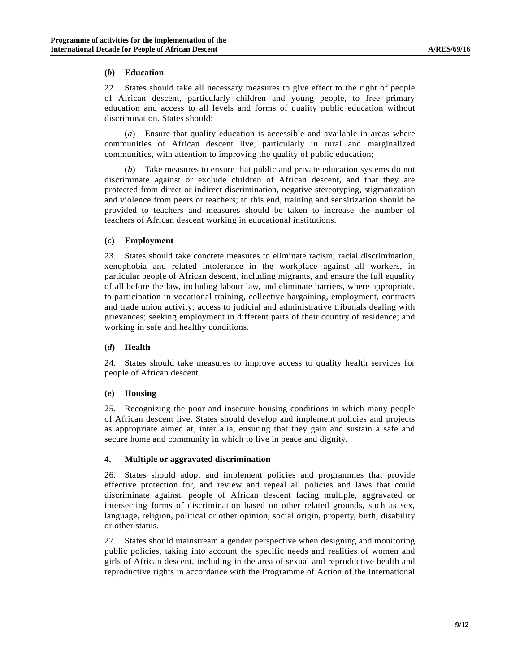## **(***b***) Education**

22. States should take all necessary measures to give effect to the right of people of African descent, particularly children and young people, to free primary education and access to all levels and forms of quality public education without discrimination. States should:

 (*a*) Ensure that quality education is accessible and available in areas where communities of African descent live, particularly in rural and marginalized communities, with attention to improving the quality of public education;

 (*b*) Take measures to ensure that public and private education systems do not discriminate against or exclude children of African descent, and that they are protected from direct or indirect discrimination, negative stereotyping, stigmatization and violence from peers or teachers; to this end, training and sensitization should be provided to teachers and measures should be taken to increase the number of teachers of African descent working in educational institutions.

## **(***c***) Employment**

23. States should take concrete measures to eliminate racism, racial discrimination, xenophobia and related intolerance in the workplace against all workers, in particular people of African descent, including migrants, and ensure the full equality of all before the law, including labour law, and eliminate barriers, where appropriate, to participation in vocational training, collective bargaining, employment, contracts and trade union activity; access to judicial and administrative tribunals dealing with grievances; seeking employment in different parts of their country of residence; and working in safe and healthy conditions.

## **(***d***) Health**

24. States should take measures to improve access to quality health services for people of African descent.

#### **(***e***) Housing**

25. Recognizing the poor and insecure housing conditions in which many people of African descent live, States should develop and implement policies and projects as appropriate aimed at, inter alia, ensuring that they gain and sustain a safe and secure home and community in which to live in peace and dignity.

## **4. Multiple or aggravated discrimination**

26. States should adopt and implement policies and programmes that provide effective protection for, and review and repeal all policies and laws that could discriminate against, people of African descent facing multiple, aggravated or intersecting forms of discrimination based on other related grounds, such as sex, language, religion, political or other opinion, social origin, property, birth, disability or other status.

27. States should mainstream a gender perspective when designing and monitoring public policies, taking into account the specific needs and realities of women and girls of African descent, including in the area of sexual and reproductive health and reproductive rights in accordance with the Programme of Action of the International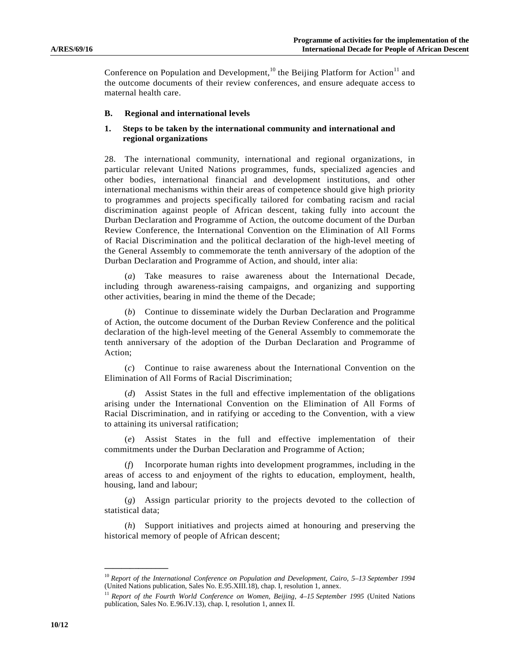Conference on Population and Development,<sup>10</sup> the Beijing Platform for Action<sup>11</sup> and the outcome documents of their review conferences, and ensure adequate access to maternal health care.

#### **B. Regional and international levels**

## **1. Steps to be taken by the international community and international and regional organizations**

28. The international community, international and regional organizations, in particular relevant United Nations programmes, funds, specialized agencies and other bodies, international financial and development institutions, and other international mechanisms within their areas of competence should give high priority to programmes and projects specifically tailored for combating racism and racial discrimination against people of African descent, taking fully into account the Durban Declaration and Programme of Action, the outcome document of the Durban Review Conference, the International Convention on the Elimination of All Forms of Racial Discrimination and the political declaration of the high-level meeting of the General Assembly to commemorate the tenth anniversary of the adoption of the Durban Declaration and Programme of Action, and should, inter alia:

 (*a*) Take measures to raise awareness about the International Decade, including through awareness-raising campaigns, and organizing and supporting other activities, bearing in mind the theme of the Decade;

 (*b*) Continue to disseminate widely the Durban Declaration and Programme of Action, the outcome document of the Durban Review Conference and the political declaration of the high-level meeting of the General Assembly to commemorate the tenth anniversary of the adoption of the Durban Declaration and Programme of Action;

 (*c*) Continue to raise awareness about the International Convention on the Elimination of All Forms of Racial Discrimination;

 (*d*) Assist States in the full and effective implementation of the obligations arising under the International Convention on the Elimination of All Forms of Racial Discrimination, and in ratifying or acceding to the Convention, with a view to attaining its universal ratification;

 (*e*) Assist States in the full and effective implementation of their commitments under the Durban Declaration and Programme of Action;

 (*f*) Incorporate human rights into development programmes, including in the areas of access to and enjoyment of the rights to education, employment, health, housing, land and labour;

 (*g*) Assign particular priority to the projects devoted to the collection of statistical data;

 (*h*) Support initiatives and projects aimed at honouring and preserving the historical memory of people of African descent;

<sup>&</sup>lt;sup>10</sup> Report of the International Conference on Population and Development, Cairo, 5–13 September 1994 (United Nations publication, Sales No. E.95.XIII.18), chap. I, resolution 1, annex.

<sup>&</sup>lt;sup>11</sup> Report of the Fourth World Conference on Women, Beijing, 4–15 September 1995 (United Nations publication, Sales No. E.96.IV.13), chap. I, resolution 1, annex II.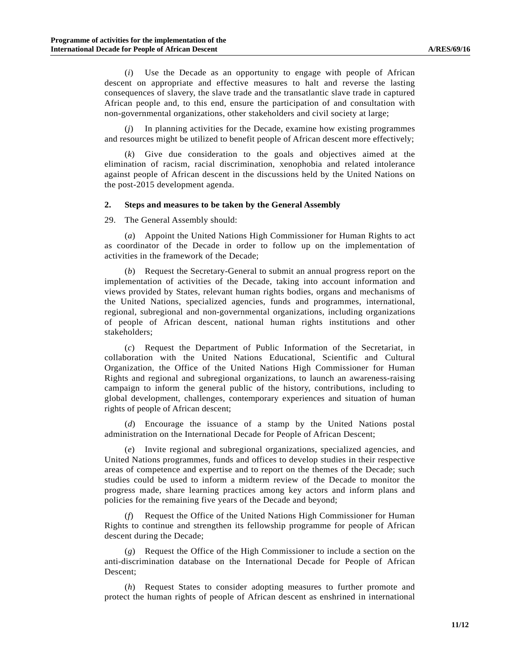(*i*) Use the Decade as an opportunity to engage with people of African descent on appropriate and effective measures to halt and reverse the lasting consequences of slavery, the slave trade and the transatlantic slave trade in captured African people and, to this end, ensure the participation of and consultation with non-governmental organizations, other stakeholders and civil society at large;

 (*j*) In planning activities for the Decade, examine how existing programmes and resources might be utilized to benefit people of African descent more effectively;

 (*k*) Give due consideration to the goals and objectives aimed at the elimination of racism, racial discrimination, xenophobia and related intolerance against people of African descent in the discussions held by the United Nations on the post-2015 development agenda.

## **2. Steps and measures to be taken by the General Assembly**

29. The General Assembly should:

 (*a*) Appoint the United Nations High Commissioner for Human Rights to act as coordinator of the Decade in order to follow up on the implementation of activities in the framework of the Decade;

 (*b*) Request the Secretary-General to submit an annual progress report on the implementation of activities of the Decade, taking into account information and views provided by States, relevant human rights bodies, organs and mechanisms of the United Nations, specialized agencies, funds and programmes, international, regional, subregional and non-governmental organizations, including organizations of people of African descent, national human rights institutions and other stakeholders;

 (*c*) Request the Department of Public Information of the Secretariat, in collaboration with the United Nations Educational, Scientific and Cultural Organization, the Office of the United Nations High Commissioner for Human Rights and regional and subregional organizations, to launch an awareness-raising campaign to inform the general public of the history, contributions, including to global development, challenges, contemporary experiences and situation of human rights of people of African descent;

 (*d*) Encourage the issuance of a stamp by the United Nations postal administration on the International Decade for People of African Descent;

 (*e*) Invite regional and subregional organizations, specialized agencies, and United Nations programmes, funds and offices to develop studies in their respective areas of competence and expertise and to report on the themes of the Decade; such studies could be used to inform a midterm review of the Decade to monitor the progress made, share learning practices among key actors and inform plans and policies for the remaining five years of the Decade and beyond;

 (*f*) Request the Office of the United Nations High Commissioner for Human Rights to continue and strengthen its fellowship programme for people of African descent during the Decade;

 (*g*) Request the Office of the High Commissioner to include a section on the anti-discrimination database on the International Decade for People of African Descent;

 (*h*) Request States to consider adopting measures to further promote and protect the human rights of people of African descent as enshrined in international